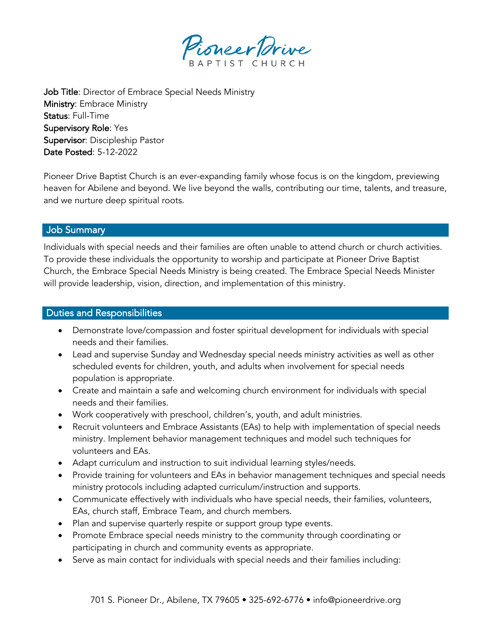

Job Title: Director of Embrace Special Needs Ministry Ministry: Embrace Ministry Status: Full-Time Supervisory Role: Yes Supervisor: Discipleship Pastor Date Posted: 5-12-2022

Pioneer Drive Baptist Church is an ever-expanding family whose focus is on the kingdom, previewing heaven for Abilene and beyond. We live beyond the walls, contributing our time, talents, and treasure, and we nurture deep spiritual roots.

### Job Summary

Individuals with special needs and their families are often unable to attend church or church activities. To provide these individuals the opportunity to worship and participate at Pioneer Drive Baptist Church, the Embrace Special Needs Ministry is being created. The Embrace Special Needs Minister will provide leadership, vision, direction, and implementation of this ministry.

### Duties and Responsibilities

- Demonstrate love/compassion and foster spiritual development for individuals with special needs and their families.
- Lead and supervise Sunday and Wednesday special needs ministry activities as well as other scheduled events for children, youth, and adults when involvement for special needs population is appropriate.
- Create and maintain a safe and welcoming church environment for individuals with special needs and their families.
- Work cooperatively with preschool, children's, youth, and adult ministries.
- Recruit volunteers and Embrace Assistants (EAs) to help with implementation of special needs ministry. Implement behavior management techniques and model such techniques for volunteers and EAs.
- Adapt curriculum and instruction to suit individual learning styles/needs.
- Provide training for volunteers and EAs in behavior management techniques and special needs ministry protocols including adapted curriculum/instruction and supports.
- Communicate effectively with individuals who have special needs, their families, volunteers, EAs, church staff, Embrace Team, and church members.
- Plan and supervise quarterly respite or support group type events.
- Promote Embrace special needs ministry to the community through coordinating or participating in church and community events as appropriate.
- Serve as main contact for individuals with special needs and their families including: